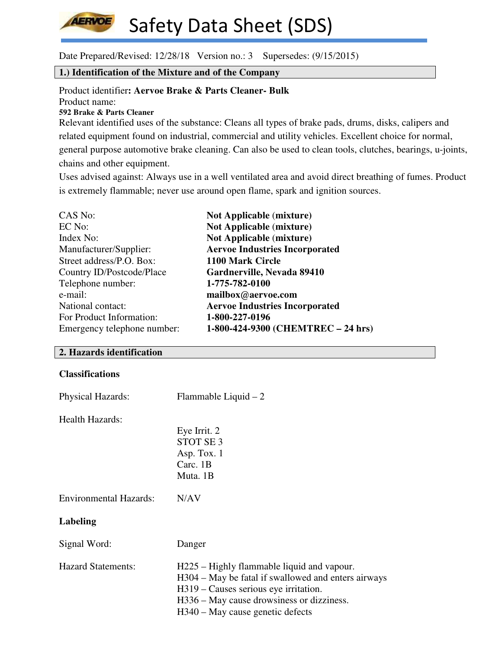

Date Prepared/Revised: 12/28/18 Version no.: 3 Supersedes: (9/15/2015)

# **1.) Identification of the Mixture and of the Company**

Product identifier**: Aervoe Brake & Parts Cleaner- Bulk** Product name: **592 Brake & Parts Cleaner**

Relevant identified uses of the substance: Cleans all types of brake pads, drums, disks, calipers and related equipment found on industrial, commercial and utility vehicles. Excellent choice for normal, general purpose automotive brake cleaning. Can also be used to clean tools, clutches, bearings, u-joints, chains and other equipment.

Uses advised against: Always use in a well ventilated area and avoid direct breathing of fumes. Product is extremely flammable; never use around open flame, spark and ignition sources.

| CAS No:                     | <b>Not Applicable (mixture)</b>       |
|-----------------------------|---------------------------------------|
| EC No:                      | <b>Not Applicable (mixture)</b>       |
| Index No:                   | <b>Not Applicable (mixture)</b>       |
| Manufacturer/Supplier:      | <b>Aervoe Industries Incorporated</b> |
| Street address/P.O. Box:    | 1100 Mark Circle                      |
| Country ID/Postcode/Place   | Gardnerville, Nevada 89410            |
| Telephone number:           | 1-775-782-0100                        |
| e-mail:                     | mailbox@aervoe.com                    |
| National contact:           | <b>Aervoe Industries Incorporated</b> |
| For Product Information:    | 1-800-227-0196                        |
| Emergency telephone number: | 1-800-424-9300 (CHEMTREC - 24 hrs)    |

# **2. Hazards identification**

#### **Classifications**

| <b>Physical Hazards:</b>      | Flammable Liquid $-2$                                                                                                                                                                                                       |
|-------------------------------|-----------------------------------------------------------------------------------------------------------------------------------------------------------------------------------------------------------------------------|
| Health Hazards:               | Eye Irrit. 2<br>STOT SE <sub>3</sub><br>Asp. Tox. 1<br>Carc. $1B$<br>Muta. 1B                                                                                                                                               |
| <b>Environmental Hazards:</b> | N/AV                                                                                                                                                                                                                        |
| Labeling                      |                                                                                                                                                                                                                             |
| Signal Word:                  | Danger                                                                                                                                                                                                                      |
| <b>Hazard Statements:</b>     | H225 – Highly flammable liquid and vapour.<br>H304 – May be fatal if swallowed and enters airways<br>H319 – Causes serious eye irritation.<br>H336 – May cause drowsiness or dizziness.<br>H340 – May cause genetic defects |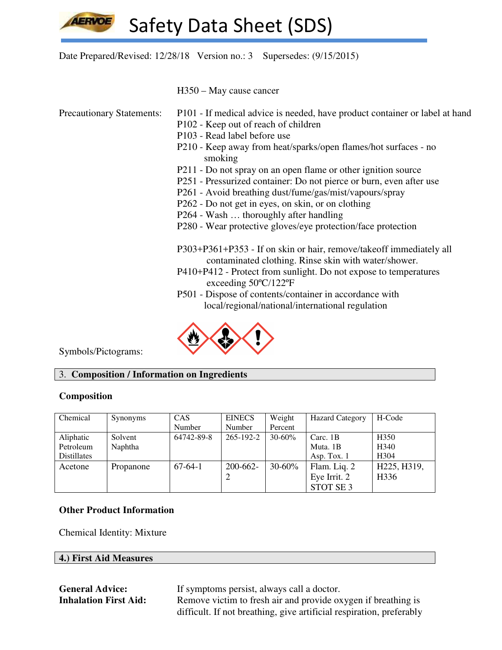

Date Prepared/Revised: 12/28/18 Version no.: 3 Supersedes: (9/15/2015)

H350 – May cause cancer

- Precautionary Statements: P101 If medical advice is needed, have product container or label at hand
	- P102 Keep out of reach of children
	- P103 Read label before use
	- P210 Keep away from heat/sparks/open flames/hot surfaces no smoking
	- P211 Do not spray on an open flame or other ignition source
	- P251 Pressurized container: Do not pierce or burn, even after use
	- P261 Avoid breathing dust/fume/gas/mist/vapours/spray
	- P262 Do not get in eyes, on skin, or on clothing
	- P264 Wash … thoroughly after handling
	- P280 Wear protective gloves/eye protection/face protection

 P303+P361+P353 - If on skin or hair, remove/takeoff immediately all contaminated clothing. Rinse skin with water/shower.

- P410+P412 Protect from sunlight. Do not expose to temperatures exceeding 50ºC/122ºF
- P501 Dispose of contents/container in accordance with local/regional/national/international regulation



Symbols/Pictograms:

# 3. **Composition / Information on Ingredients**

## **Composition**

| Chemical           | Synonyms  | <b>CAS</b> | <b>EINECS</b> | Weight     | <b>Hazard Category</b> | H-Code           |
|--------------------|-----------|------------|---------------|------------|------------------------|------------------|
|                    |           | Number     | Number        | Percent    |                        |                  |
| Aliphatic          | Solvent   | 64742-89-8 | 265-192-2     | $30 - 60%$ | Carc. 1B               | H <sub>350</sub> |
| Petroleum          | Naphtha   |            |               |            | Muta. 1B               | H <sub>340</sub> |
| <b>Distillates</b> |           |            |               |            | Asp. Tox. $1$          | H <sub>304</sub> |
| Acetone            | Propanone | $67-64-1$  | 200-662-      | $30 - 60%$ | Flam. Liq. 2           | H225, H319,      |
|                    |           |            |               |            | Eye Irrit. 2           | H <sub>336</sub> |
|                    |           |            |               |            | STOT SE <sub>3</sub>   |                  |

# **Other Product Information**

Chemical Identity: Mixture

## **4.) First Aid Measures**

**General Advice:** If symptoms persist, always call a doctor. **Inhalation First Aid:** Remove victim to fresh air and provide oxygen if breathing is difficult. If not breathing, give artificial respiration, preferably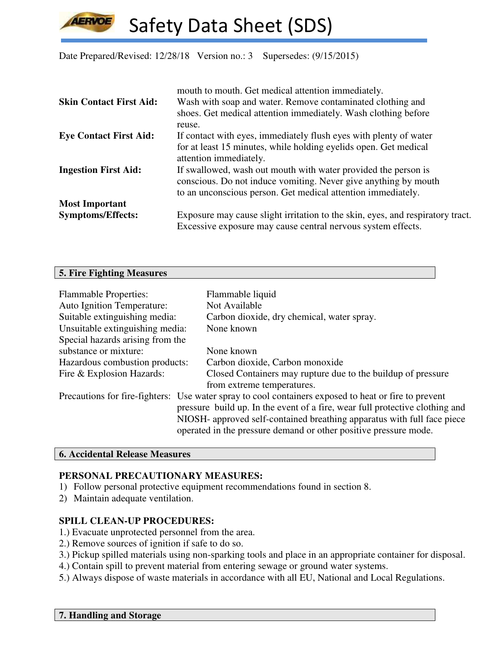Date Prepared/Revised: 12/28/18 Version no.: 3 Supersedes: (9/15/2015)

|                                | mouth to mouth. Get medical attention immediately.                                         |
|--------------------------------|--------------------------------------------------------------------------------------------|
| <b>Skin Contact First Aid:</b> | Wash with soap and water. Remove contaminated clothing and                                 |
|                                | shoes. Get medical attention immediately. Wash clothing before                             |
|                                | reuse.                                                                                     |
| <b>Eye Contact First Aid:</b>  | If contact with eyes, immediately flush eyes with plenty of water                          |
|                                | for at least 15 minutes, while holding eyelids open. Get medical<br>attention immediately. |
| <b>Ingestion First Aid:</b>    | If swallowed, wash out mouth with water provided the person is                             |
|                                | conscious. Do not induce vomiting. Never give anything by mouth                            |
|                                | to an unconscious person. Get medical attention immediately.                               |
| <b>Most Important</b>          |                                                                                            |
| <b>Symptoms/Effects:</b>       | Exposure may cause slight irritation to the skin, eyes, and respiratory tract.             |
|                                | Excessive exposure may cause central nervous system effects.                               |

#### **5. Fire Fighting Measures**

| <b>Flammable Properties:</b><br><b>Auto Ignition Temperature:</b> | Flammable liquid<br>Not Available                                                                    |  |  |
|-------------------------------------------------------------------|------------------------------------------------------------------------------------------------------|--|--|
| Suitable extinguishing media:                                     | Carbon dioxide, dry chemical, water spray.                                                           |  |  |
| Unsuitable extinguishing media:                                   | None known                                                                                           |  |  |
| Special hazards arising from the                                  |                                                                                                      |  |  |
| substance or mixture:                                             | None known                                                                                           |  |  |
| Hazardous combustion products:                                    | Carbon dioxide, Carbon monoxide                                                                      |  |  |
| Fire & Explosion Hazards:                                         | Closed Containers may rupture due to the buildup of pressure                                         |  |  |
|                                                                   | from extreme temperatures.                                                                           |  |  |
|                                                                   | Precautions for fire-fighters: Use water spray to cool containers exposed to heat or fire to prevent |  |  |
|                                                                   | pressure build up. In the event of a fire, wear full protective clothing and                         |  |  |
|                                                                   | NIOSH- approved self-contained breathing apparatus with full face piece                              |  |  |
|                                                                   | operated in the pressure demand or other positive pressure mode.                                     |  |  |

#### **6. Accidental Release Measures**

# **PERSONAL PRECAUTIONARY MEASURES:**

- 1) Follow personal protective equipment recommendations found in section 8.
- 2) Maintain adequate ventilation.

## **SPILL CLEAN-UP PROCEDURES:**

- 1.) Evacuate unprotected personnel from the area.
- 2.) Remove sources of ignition if safe to do so.
- 3.) Pickup spilled materials using non-sparking tools and place in an appropriate container for disposal.
- 4.) Contain spill to prevent material from entering sewage or ground water systems.
- 5.) Always dispose of waste materials in accordance with all EU, National and Local Regulations.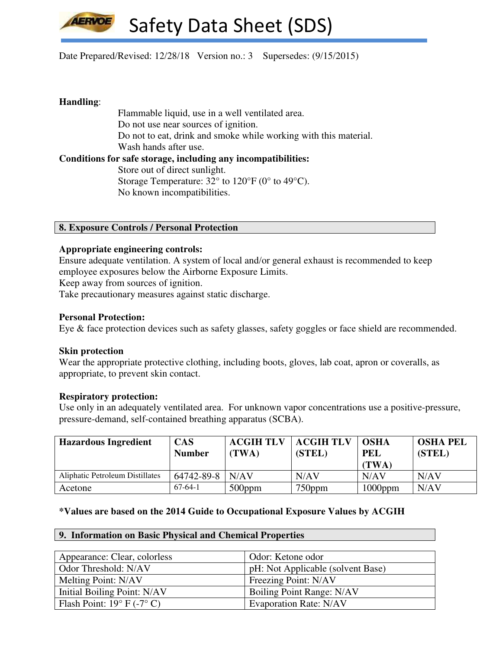

Date Prepared/Revised: 12/28/18 Version no.: 3 Supersedes: (9/15/2015)

## **Handling**:

 Flammable liquid, use in a well ventilated area. Do not use near sources of ignition. Do not to eat, drink and smoke while working with this material. Wash hands after use. **Conditions for safe storage, including any incompatibilities:**  Store out of direct sunlight. Storage Temperature:  $32^{\circ}$  to  $120^{\circ}$  F (0° to 49°C). No known incompatibilities.

### **8. Exposure Controls / Personal Protection**

### **Appropriate engineering controls:**

Ensure adequate ventilation. A system of local and/or general exhaust is recommended to keep employee exposures below the Airborne Exposure Limits.

Keep away from sources of ignition.

Take precautionary measures against static discharge.

### **Personal Protection:**

Eye & face protection devices such as safety glasses, safety goggles or face shield are recommended.

#### **Skin protection**

Wear the appropriate protective clothing, including boots, gloves, lab coat, apron or coveralls, as appropriate, to prevent skin contact.

#### **Respiratory protection:**

Use only in an adequately ventilated area. For unknown vapor concentrations use a positive-pressure, pressure-demand, self-contained breathing apparatus (SCBA).

| <b>Hazardous Ingredient</b>     | <b>CAS</b><br><b>Number</b> | <b>ACGIH TLV</b><br>(TWA) | <b>ACGIH TLV</b><br>(STEL) | <b>OSHA</b><br><b>PEL</b><br>(TWA) | <b>OSHA PEL</b><br>(STEL) |
|---------------------------------|-----------------------------|---------------------------|----------------------------|------------------------------------|---------------------------|
| Aliphatic Petroleum Distillates | $64742 - 89 - 8$            | N/AV                      | N/AV                       | N/AV                               | N/AV                      |
| Acetone                         | $67-64-1$                   | $500$ ppm                 | $750$ ppm                  | $1000$ ppm                         | N/AV                      |

## **\*Values are based on the 2014 Guide to Occupational Exposure Values by ACGIH**

# **9. Information on Basic Physical and Chemical Properties**

| Appearance: Clear, colorless        | Odor: Ketone odor                 |
|-------------------------------------|-----------------------------------|
| Odor Threshold: N/AV                | pH: Not Applicable (solvent Base) |
| Melting Point: N/AV                 | Freezing Point: N/AV              |
| Initial Boiling Point: N/AV         | Boiling Point Range: N/AV         |
| Flash Point: $19^{\circ}$ F (-7° C) | <b>Evaporation Rate: N/AV</b>     |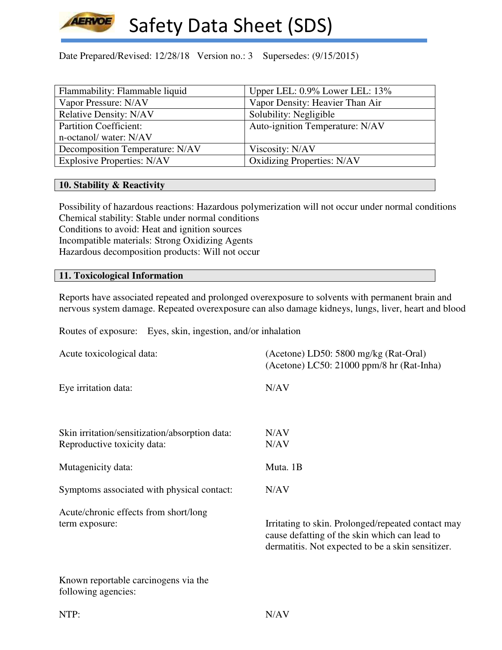

Date Prepared/Revised: 12/28/18 Version no.: 3 Supersedes: (9/15/2015)

| Flammability: Flammable liquid    | Upper LEL: 0.9% Lower LEL: 13%    |
|-----------------------------------|-----------------------------------|
| Vapor Pressure: N/AV              | Vapor Density: Heavier Than Air   |
| <b>Relative Density: N/AV</b>     | Solubility: Negligible            |
| <b>Partition Coefficient:</b>     | Auto-ignition Temperature: N/AV   |
| n-octanol/water: N/AV             |                                   |
| Decomposition Temperature: N/AV   | Viscosity: N/AV                   |
| <b>Explosive Properties: N/AV</b> | <b>Oxidizing Properties: N/AV</b> |

### **10. Stability & Reactivity**

Possibility of hazardous reactions: Hazardous polymerization will not occur under normal conditions Chemical stability: Stable under normal conditions Conditions to avoid: Heat and ignition sources Incompatible materials: Strong Oxidizing Agents Hazardous decomposition products: Will not occur

### **11. Toxicological Information**

Reports have associated repeated and prolonged overexposure to solvents with permanent brain and nervous system damage. Repeated overexposure can also damage kidneys, lungs, liver, heart and blood

Routes of exposure: Eyes, skin, ingestion, and/or inhalation

| Acute toxicological data:                                                     | (Acetone) LD50: 5800 mg/kg (Rat-Oral)<br>(Acetone) LC50: 21000 ppm/8 hr (Rat-Inha)                                                                       |
|-------------------------------------------------------------------------------|----------------------------------------------------------------------------------------------------------------------------------------------------------|
| Eye irritation data:                                                          | N/AV                                                                                                                                                     |
| Skin irritation/sensitization/absorption data:<br>Reproductive toxicity data: | N/AV<br>N/AV                                                                                                                                             |
| Mutagenicity data:                                                            | Muta. 1B                                                                                                                                                 |
| Symptoms associated with physical contact:                                    | N/AV                                                                                                                                                     |
| Acute/chronic effects from short/long<br>term exposure:                       | Irritating to skin. Prolonged/repeated contact may<br>cause defatting of the skin which can lead to<br>dermatitis. Not expected to be a skin sensitizer. |
| Known reportable carcinogens via the<br>following agencies:                   |                                                                                                                                                          |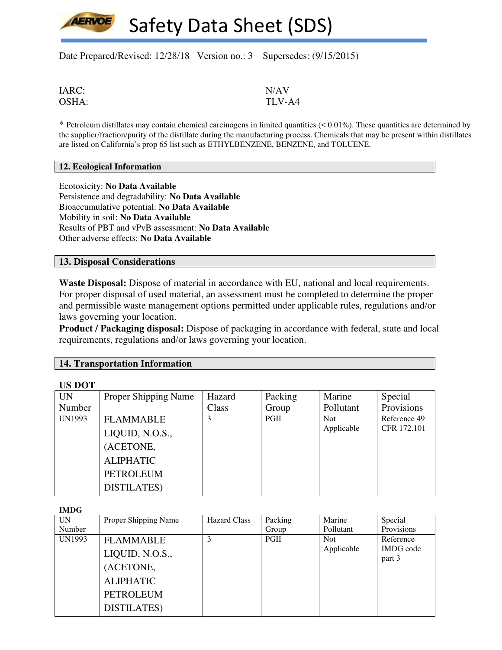Date Prepared/Revised: 12/28/18 Version no.: 3 Supersedes: (9/15/2015)

IARC: N/AV

OSHA: TLV-A4

 $*$  Petroleum distillates may contain chemical carcinogens in limited quantities  $( $0.01\%$ ). These quantities are determined by$ the supplier/fraction/purity of the distillate during the manufacturing process. Chemicals that may be present within distillates are listed on California's prop 65 list such as ETHYLBENZENE, BENZENE, and TOLUENE.

#### **12. Ecological Information**

Ecotoxicity: **No Data Available** Persistence and degradability: **No Data Available** Bioaccumulative potential: **No Data Available** Mobility in soil: **No Data Available** Results of PBT and vPvB assessment: **No Data Available** Other adverse effects: **No Data Available**

#### **13. Disposal Considerations**

**Waste Disposal:** Dispose of material in accordance with EU, national and local requirements. For proper disposal of used material, an assessment must be completed to determine the proper and permissible waste management options permitted under applicable rules, regulations and/or laws governing your location.

**Product / Packaging disposal:** Dispose of packaging in accordance with federal, state and local requirements, regulations and/or laws governing your location.

#### **14. Transportation Information**

| US DOT    |                             |        |         |            |              |
|-----------|-----------------------------|--------|---------|------------|--------------|
| <b>UN</b> | <b>Proper Shipping Name</b> | Hazard | Packing | Marine     | Special      |
| Number    |                             | Class  | Group   | Pollutant  | Provisions   |
| UN1993    | <b>FLAMMABLE</b>            | 3      | PGII    | Not.       | Reference 49 |
|           | LIQUID, N.O.S.,             |        |         | Applicable | CFR 172.101  |
|           | (ACETONE,                   |        |         |            |              |
|           | <b>ALIPHATIC</b>            |        |         |            |              |
|           | <b>PETROLEUM</b>            |        |         |            |              |
|           | <b>DISTILATES</b> )         |        |         |            |              |

**IMDG** 

**US DOT** 

| шир    |                      |                     |         |            |                  |
|--------|----------------------|---------------------|---------|------------|------------------|
| UN.    | Proper Shipping Name | <b>Hazard Class</b> | Packing | Marine     | Special          |
| Number |                      |                     | Group   | Pollutant  | Provisions       |
| UN1993 | <b>FLAMMABLE</b>     |                     | PGII    | <b>Not</b> | Reference        |
|        |                      |                     |         | Applicable | <b>IMDG</b> code |
|        | LIQUID, N.O.S.,      |                     |         |            | part 3           |
|        | (ACETONE,            |                     |         |            |                  |
|        | <b>ALIPHATIC</b>     |                     |         |            |                  |
|        | <b>PETROLEUM</b>     |                     |         |            |                  |
|        | <b>DISTILATES</b> )  |                     |         |            |                  |
|        |                      |                     |         |            |                  |